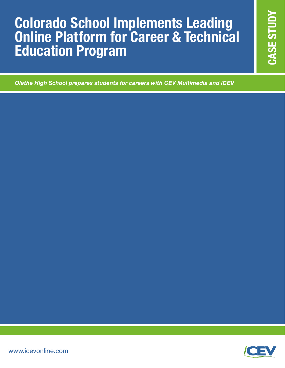## **2 Colorado School Implements Leading Online Platform for Career & Technical developments** Education Program **Colorado School Implements Leading Online Platform for Career & Technical Education Program**

*Olathe High School prepares students for careers with CEV Multimedia and iCEV*

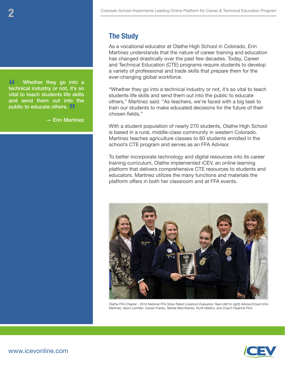**ff** Whether they go into a technical industry or not, it's so vital to teach students life skills and send them out into the public to educate others. **}** 

— Erin Martinez

### **The Study**

As a vocational educator at Olathe High School in Colorado, Erin Martinez understands that the nature of career training and education has changed drastically over the past few decades. Today, Career and Technical Education (CTE) programs require students to develop a variety of professional and trade skills that prepare them for the ever-changing global workforce.

"Whether they go into a technical industry or not, it's so vital to teach students life skills and send them out into the public to educate others," Martinez said. "As teachers, we're faced with a big task to train our students to make educated decisions for the future of their chosen fields."

With a student population of nearly 270 students, Olathe High School is based in a rural, middle-class community in western Colorado. Martinez teaches agriculture classes to 60 students enrolled in the school's CTE program and serves as an FFA Advisor.

To better incorporate technology and digital resources into its career training curriculum, Olathe implemented iCEV, an online learning platform that delivers comprehensive CTE resources to students and educators. Martinez utilizes the many functions and materials the platform offers in both her classroom and at FFA events.



*Olathe FFA Chapter - 2014 National FFA Silver Rated Livestock Evaluation Team (left to right) Advisor/Coach Erin Martinez, Aaron Lenihan, Cassie Franks, Talisha Marchbanks, Kurik Mattics, and Coach Fayanna Flick*

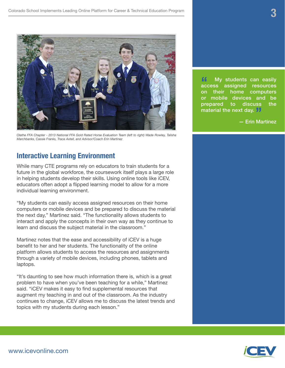

*Olathe FFA Chapter - 2013 National FFA Gold Rated Horse Evaluation Team (left to right) Wade Rowley, Talisha Marchbanks, Cassie Franks, Trace Axtell, and Advisor/Coach Erin Martinez*

#### **Interactive Learning Environment**

While many CTE programs rely on educators to train students for a future in the global workforce, the coursework itself plays a large role in helping students develop their skills. Using online tools like iCEV, educators often adopt a flipped learning model to allow for a more individual learning environment.

"My students can easily access assigned resources on their home computers or mobile devices and be prepared to discuss the material the next day," Martinez said. "The functionality allows students to interact and apply the concepts in their own way as they continue to learn and discuss the subject material in the classroom."

Martinez notes that the ease and accessibility of iCEV is a huge benefit to her and her students. The functionality of the online platform allows students to access the resources and assignments through a variety of mobile devices, including phones, tablets and laptops.

"It's daunting to see how much information there is, which is a great problem to have when you've been teaching for a while," Martinez said. "iCEV makes it easy to find supplemental resources that augment my teaching in and out of the classroom. As the industry continues to change, iCEV allows me to discuss the latest trends and topics with my students during each lesson."

**"** My students can easily access assigned resources<br>on their home computers assigned resources computers or mobile devices and be prepared to discuss the material the next day. **"**

— Erin Martinez